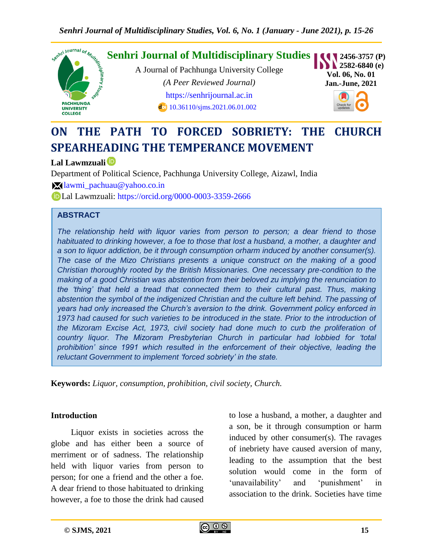

# **ON THE PATH TO FORCED SOBRIETY: THE CHURCH SPEARHEADING THE TEMPERANCE MOVEMENT**

#### **Lal Lawmzuali**

Department of Political Science, Pachhunga University College, Aizawl, India

[lawmi\\_pachuau@yahoo.co.in](mailto:lawmi_pachuau@yahoo.co.in)

Lal Lawmzuali:<https://orcid.org/0000-0003-3359-2666>

#### **ABSTRACT**

*The relationship held with liquor varies from person to person; a dear friend to those habituated to drinking however, a foe to those that lost a husband, a mother, a daughter and a son to liquor addiction, be it through consumption orharm induced by another consumer(s). The case of the Mizo Christians presents a unique construct on the making of a good Christian thoroughly rooted by the British Missionaries. One necessary pre-condition to the making of a good Christian was abstention from their beloved zu implying the renunciation to the 'thing' that held a tread that connected them to their cultural past. Thus, making abstention the symbol of the indigenized Christian and the culture left behind. The passing of years had only increased the Church's aversion to the drink. Government policy enforced in*  1973 had caused for such varieties to be introduced in the state. Prior to the introduction of *the Mizoram Excise Act, 1973, civil society had done much to curb the proliferation of country liquor. The Mizoram Presbyterian Church in particular had lobbied for 'total prohibition' since 1991 which resulted in the enforcement of their objective, leading the reluctant Government to implement 'forced sobriety' in the state.*

**Keywords:** *Liquor, consumption, prohibition, civil society, Church.*

#### **Introduction**

Liquor exists in societies across the globe and has either been a source of merriment or of sadness. The relationship held with liquor varies from person to person; for one a friend and the other a foe. A dear friend to those habituated to drinking however, a foe to those the drink had caused

to lose a husband, a mother, a daughter and a son, be it through consumption or harm induced by other consumer(s). The ravages of inebriety have caused aversion of many, leading to the assumption that the best solution would come in the form of 'unavailability' and 'punishment' in association to the drink. Societies have time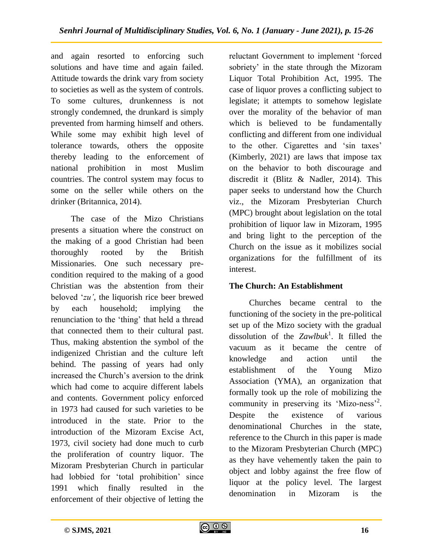and again resorted to enforcing such solutions and have time and again failed. Attitude towards the drink vary from society to societies as well as the system of controls. To some cultures, drunkenness is not strongly condemned, the drunkard is simply prevented from harming himself and others. While some may exhibit high level of tolerance towards, others the opposite thereby leading to the enforcement of national prohibition in most Muslim countries. The control system may focus to some on the seller while others on the drinker (Britannica, 2014).

The case of the Mizo Christians presents a situation where the construct on the making of a good Christian had been thoroughly rooted by the British Missionaries. One such necessary precondition required to the making of a good Christian was the abstention from their beloved "*zu'*, the liquorish rice beer brewed by each household; implying the renunciation to the "thing" that held a thread that connected them to their cultural past. Thus, making abstention the symbol of the indigenized Christian and the culture left behind. The passing of years had only increased the Church"s aversion to the drink which had come to acquire different labels and contents. Government policy enforced in 1973 had caused for such varieties to be introduced in the state. Prior to the introduction of the Mizoram Excise Act, 1973, civil society had done much to curb the proliferation of country liquor. The Mizoram Presbyterian Church in particular had lobbied for 'total prohibition' since 1991 which finally resulted in the enforcement of their objective of letting the

reluctant Government to implement "forced sobriety' in the state through the Mizoram Liquor Total Prohibition Act, 1995. The case of liquor proves a conflicting subject to legislate; it attempts to somehow legislate over the morality of the behavior of man which is believed to be fundamentally conflicting and different from one individual to the other. Cigarettes and 'sin taxes' (Kimberly, 2021) are laws that impose tax on the behavior to both discourage and discredit it (Blitz & Nadler, 2014). This paper seeks to understand how the Church viz., the Mizoram Presbyterian Church (MPC) brought about legislation on the total prohibition of liquor law in Mizoram, 1995 and bring light to the perception of the Church on the issue as it mobilizes social organizations for the fulfillment of its interest.

# **The Church: An Establishment**

Churches became central to the functioning of the society in the pre-political set up of the Mizo society with the gradual dissolution of the *Zawlbuk*<sup>1</sup> . It filled the vacuum as it became the centre of knowledge and action until the establishment of the Young Mizo Association (YMA), an organization that formally took up the role of mobilizing the community in preserving its 'Mizo-ness'<sup>2</sup>. Despite the existence of various denominational Churches in the state, reference to the Church in this paper is made to the Mizoram Presbyterian Church (MPC) as they have vehemently taken the pain to object and lobby against the free flow of liquor at the policy level. The largest denomination in Mizoram is the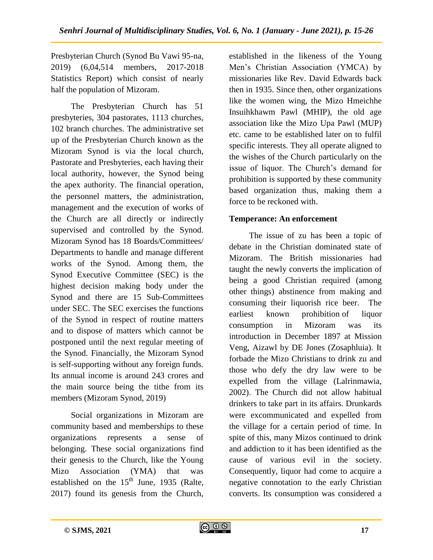Presbyterian Church (Synod Bu Vawi 95-na, 2019) (6,04,514 members, 2017-2018 Statistics Report) which consist of nearly half the population of Mizoram.

The Presbyterian Church has 51 presbyteries, 304 pastorates, 1113 churches, 102 branch churches. The administrative set up of the Presbyterian Church known as the Mizoram Synod is via the local church, Pastorate and Presbyteries, each having their local authority, however, the Synod being the apex authority. The financial operation, the personnel matters, the administration, management and the execution of works of the Church are all directly or indirectly supervised and controlled by the Synod. Mizoram Synod has 18 Boards/Committees/ Departments to handle and manage different works of the Synod. Among them, the Synod Executive Committee (SEC) is the highest decision making body under the Synod and there are 15 Sub-Committees under SEC. The SEC exercises the functions of the Synod in respect of routine matters and to dispose of matters which cannot be postponed until the next regular meeting of the Synod. Financially, the Mizoram Synod is self-supporting without any foreign funds. Its annual income is around 243 crores and the main source being the tithe from its members (Mizoram Synod, 2019)

Social organizations in Mizoram are community based and memberships to these organizations represents a sense of belonging. These social organizations find their genesis to the Church, like the Young Mizo Association (YMA) that was established on the  $15<sup>th</sup>$  June, 1935 (Ralte, 2017) found its genesis from the Church,

established in the likeness of the Young Men"s Christian Association (YMCA) by missionaries like Rev. David Edwards back then in 1935. Since then, other organizations like the women wing, the Mizo Hmeichhe Insuihkhawm Pawl (MHIP), the old age association like the Mizo Upa Pawl (MUP) etc. came to be established later on to fulfil specific interests. They all operate aligned to the wishes of the Church particularly on the issue of liquor. The Church's demand for prohibition is supported by these community based organization thus, making them a force to be reckoned with.

## **Temperance: An enforcement**

The issue of zu has been a topic of debate in the Christian dominated state of Mizoram. The British missionaries had taught the newly converts the implication of being a good Christian required (among other things) abstinence from making and consuming their liquorish rice beer. The earliest known prohibition of liquor consumption in Mizoram was its introduction in December 1897 at Mission Veng, Aizawl by DE Jones (Zosaphluia). It forbade the Mizo Christians to drink zu and those who defy the dry law were to be expelled from the village (Lalrinmawia, 2002). The Church did not allow habitual drinkers to take part in its affairs. Drunkards were excommunicated and expelled from the village for a certain period of time. In spite of this, many Mizos continued to drink and addiction to it has been identified as the cause of various evil in the society. Consequently, liquor had come to acquire a negative connotation to the early Christian converts. Its consumption was considered a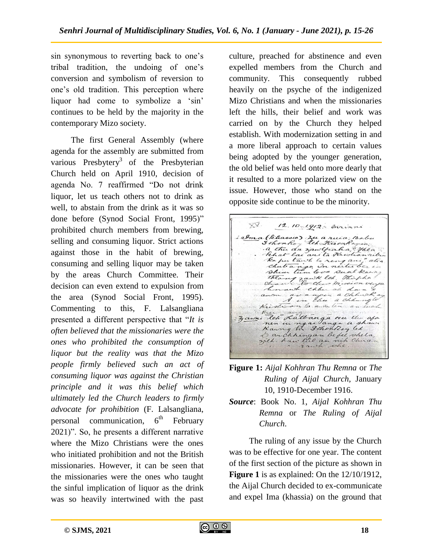sin synonymous to reverting back to one's tribal tradition, the undoing of one"s conversion and symbolism of reversion to one"s old tradition. This perception where liquor had come to symbolize a 'sin' continues to be held by the majority in the contemporary Mizo society.

The first General Assembly (where agenda for the assembly are submitted from various Presbytery<sup>3</sup> of the Presbyterian Church held on April 1910, decision of agenda No. 7 reaffirmed "Do not drink liquor, let us teach others not to drink as well, to abstain from the drink as it was so done before (Synod Social Front, 1995)" prohibited church members from brewing, selling and consuming liquor. Strict actions against those in the habit of brewing, consuming and selling liquor may be taken by the areas Church Committee. Their decision can even extend to expulsion from the area (Synod Social Front, 1995). Commenting to this, F. Lalsangliana presented a different perspective that "*It is often believed that the missionaries were the ones who prohibited the consumption of liquor but the reality was that the Mizo people firmly believed such an act of consuming liquor was against the Christian principle and it was this belief which ultimately led the Church leaders to firmly advocate for prohibition* (F. Lalsangliana, personal communication,  $6<sup>th</sup>$  February 2021)". So, he presents a different narrative where the Mizo Christians were the ones who initiated prohibition and not the British missionaries. However, it can be seen that the missionaries were the ones who taught the sinful implication of liquor as the drink was so heavily intertwined with the past

culture, preached for abstinence and even expelled members from the Church and community. This consequently rubbed heavily on the psyche of the indigenized Mizo Christians and when the missionaries left the hills, their belief and work was carried on by the Church they helped establish. With modernization setting in and a more liberal approach to certain values being adopted by the younger generation, the old belief was held onto more dearly that it resulted to a more polarized view on the issue. However, those who stand on the opposite side continue to be the minority.

XV. 12.10-1912: Invinni I alma (klassio) Zu a ruia; Bobu<br>3 ohon Roy leh Kison Rogin; a thu du zawtfiada " Thea ha putant le rengani " al  $\alpha$ theory rawk let this pha awh chan at dan avangée à chhuak aum Kristian la aussi ten an-Frederik and an an even<br>3 anni leh Lalbanga wu the afa rawh ohe

- **Figure 1:** *Aijal Kohhran Thu Remna* or *The Ruling of Aijal Church,* January 10, 1910-December 1916.
- *Source*: Book No. 1, *Aijal Kohhran Thu Remna* or *The Ruling of Aijal Church*.

The ruling of any issue by the Church was to be effective for one year. The content of the first section of the picture as shown in **Figure 1** is as explained: On the 12/10/1912, the Aijal Church decided to ex-communicate and expel Ima (khassia) on the ground that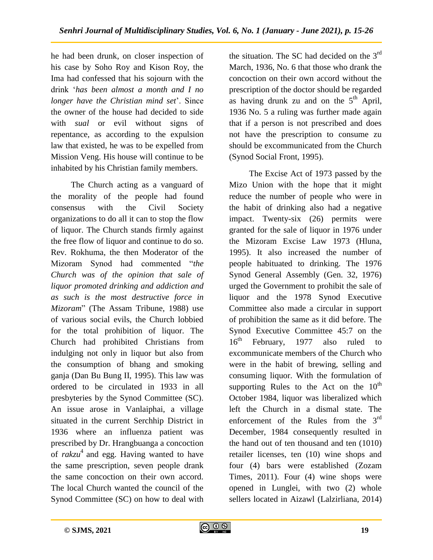he had been drunk, on closer inspection of his case by Soho Roy and Kison Roy, the Ima had confessed that his sojourn with the drink "*has been almost a month and I no longer have the Christian mind set*'. Since the owner of the house had decided to side with *sual* or evil without signs of repentance, as according to the expulsion law that existed, he was to be expelled from Mission Veng. His house will continue to be inhabited by his Christian family members.

The Church acting as a vanguard of the morality of the people had found consensus with the Civil Society organizations to do all it can to stop the flow of liquor. The Church stands firmly against the free flow of liquor and continue to do so. Rev. Rokhuma, the then Moderator of the Mizoram Synod had commented "*the Church was of the opinion that sale of liquor promoted drinking and addiction and as such is the most destructive force in Mizoram*" (The Assam Tribune, 1988) use of various social evils, the Church lobbied for the total prohibition of liquor. The Church had prohibited Christians from indulging not only in liquor but also from the consumption of bhang and smoking ganja (Dan Bu Bung II, 1995). This law was ordered to be circulated in 1933 in all presbyteries by the Synod Committee (SC). An issue arose in Vanlaiphai, a village situated in the current Serchhip District in 1936 where an influenza patient was prescribed by Dr. Hrangbuanga a concoction of *rakzu*<sup>4</sup> and egg. Having wanted to have the same prescription, seven people drank the same concoction on their own accord. The local Church wanted the council of the Synod Committee (SC) on how to deal with

the situation. The SC had decided on the  $3<sup>rd</sup>$ March, 1936, No. 6 that those who drank the concoction on their own accord without the prescription of the doctor should be regarded as having drunk zu and on the  $5<sup>th</sup>$  April, 1936 No. 5 a ruling was further made again that if a person is not prescribed and does not have the prescription to consume zu should be excommunicated from the Church (Synod Social Front, 1995).

The Excise Act of 1973 passed by the Mizo Union with the hope that it might reduce the number of people who were in the habit of drinking also had a negative impact. Twenty-six (26) permits were granted for the sale of liquor in 1976 under the Mizoram Excise Law 1973 (Hluna, 1995). It also increased the number of people habituated to drinking. The 1976 Synod General Assembly (Gen. 32, 1976) urged the Government to prohibit the sale of liquor and the 1978 Synod Executive Committee also made a circular in support of prohibition the same as it did before. The Synod Executive Committee 45:7 on the  $16<sup>th</sup>$  February, 1977 also ruled to excommunicate members of the Church who were in the habit of brewing, selling and consuming liquor. With the formulation of supporting Rules to the Act on the  $10<sup>th</sup>$ October 1984, liquor was liberalized which left the Church in a dismal state. The enforcement of the Rules from the  $3<sup>rd</sup>$ December, 1984 consequently resulted in the hand out of ten thousand and ten (1010) retailer licenses, ten (10) wine shops and four (4) bars were established (Zozam Times, 2011). Four (4) wine shops were opened in Lunglei, with two (2) whole sellers located in Aizawl (Lalzirliana, 2014)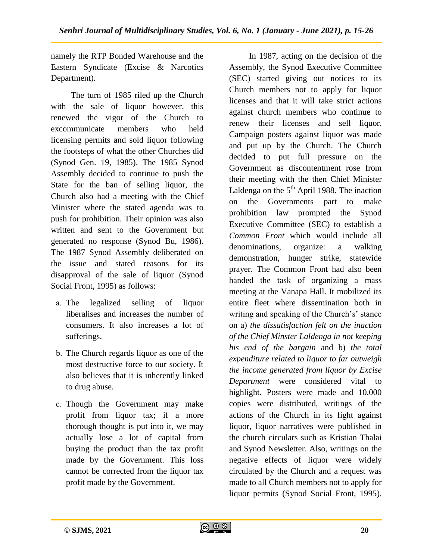namely the RTP Bonded Warehouse and the Eastern Syndicate (Excise & Narcotics Department).

The turn of 1985 riled up the Church with the sale of liquor however, this renewed the vigor of the Church to excommunicate members who held licensing permits and sold liquor following the footsteps of what the other Churches did (Synod Gen. 19, 1985). The 1985 Synod Assembly decided to continue to push the State for the ban of selling liquor, the Church also had a meeting with the Chief Minister where the stated agenda was to push for prohibition. Their opinion was also written and sent to the Government but generated no response (Synod Bu, 1986). The 1987 Synod Assembly deliberated on the issue and stated reasons for its disapproval of the sale of liquor (Synod Social Front, 1995) as follows:

- a. The legalized selling of liquor liberalises and increases the number of consumers. It also increases a lot of sufferings.
- b. The Church regards liquor as one of the most destructive force to our society. It also believes that it is inherently linked to drug abuse.
- c. Though the Government may make profit from liquor tax; if a more thorough thought is put into it, we may actually lose a lot of capital from buying the product than the tax profit made by the Government. This loss cannot be corrected from the liquor tax profit made by the Government.

In 1987, acting on the decision of the Assembly, the Synod Executive Committee (SEC) started giving out notices to its Church members not to apply for liquor licenses and that it will take strict actions against church members who continue to renew their licenses and sell liquor. Campaign posters against liquor was made and put up by the Church. The Church decided to put full pressure on the Government as discontentment rose from their meeting with the then Chief Minister Laldenga on the  $5<sup>th</sup>$  April 1988. The inaction on the Governments part to make prohibition law prompted the Synod Executive Committee (SEC) to establish a *Common Front* which would include all denominations, organize: a walking demonstration, hunger strike, statewide prayer. The Common Front had also been handed the task of organizing a mass meeting at the Vanapa Hall. It mobilized its entire fleet where dissemination both in writing and speaking of the Church's' stance on a) *the dissatisfaction felt on the inaction of the Chief Minster Laldenga in not keeping his end of the bargain* and b) *the total expenditure related to liquor to far outweigh the income generated from liquor by Excise Department* were considered vital to highlight. Posters were made and 10,000 copies were distributed, writings of the actions of the Church in its fight against liquor, liquor narratives were published in the church circulars such as Kristian Thalai and Synod Newsletter. Also, writings on the negative effects of liquor were widely circulated by the Church and a request was made to all Church members not to apply for liquor permits (Synod Social Front, 1995).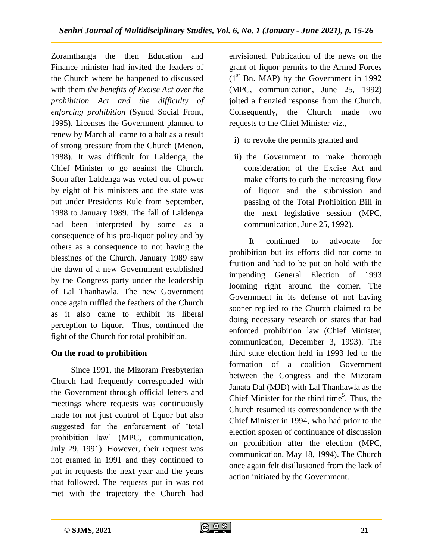Zoramthanga the then Education and Finance minister had invited the leaders of the Church where he happened to discussed with them *the benefits of Excise Act over the prohibition Act and the difficulty of enforcing prohibition* (Synod Social Front, 1995). Licenses the Government planned to renew by March all came to a halt as a result of strong pressure from the Church (Menon, 1988). It was difficult for Laldenga, the Chief Minister to go against the Church. Soon after Laldenga was voted out of power by eight of his ministers and the state was put under Presidents Rule from September, 1988 to January 1989. The fall of Laldenga had been interpreted by some as a consequence of his pro-liquor policy and by others as a consequence to not having the blessings of the Church. January 1989 saw the dawn of a new Government established by the Congress party under the leadership of Lal Thanhawla. The new Government once again ruffled the feathers of the Church as it also came to exhibit its liberal perception to liquor. Thus, continued the fight of the Church for total prohibition.

# **On the road to prohibition**

Since 1991, the Mizoram Presbyterian Church had frequently corresponded with the Government through official letters and meetings where requests was continuously made for not just control of liquor but also suggested for the enforcement of "total prohibition law" (MPC, communication, July 29, 1991). However, their request was not granted in 1991 and they continued to put in requests the next year and the years that followed. The requests put in was not met with the trajectory the Church had

envisioned. Publication of the news on the grant of liquor permits to the Armed Forces  $(1<sup>st</sup>$  Bn. MAP) by the Government in 1992 (MPC, communication, June 25, 1992) jolted a frenzied response from the Church. Consequently, the Church made two requests to the Chief Minister viz.,

- i) to revoke the permits granted and
- ii) the Government to make thorough consideration of the Excise Act and make efforts to curb the increasing flow of liquor and the submission and passing of the Total Prohibition Bill in the next legislative session (MPC, communication, June 25, 1992).

It continued to advocate for prohibition but its efforts did not come to fruition and had to be put on hold with the impending General Election of 1993 looming right around the corner. The Government in its defense of not having sooner replied to the Church claimed to be doing necessary research on states that had enforced prohibition law (Chief Minister, communication, December 3, 1993). The third state election held in 1993 led to the formation of a coalition Government between the Congress and the Mizoram Janata Dal (MJD) with Lal Thanhawla as the Chief Minister for the third time<sup>5</sup>. Thus, the Church resumed its correspondence with the Chief Minister in 1994, who had prior to the election spoken of continuance of discussion on prohibition after the election (MPC, communication, May 18, 1994). The Church once again felt disillusioned from the lack of action initiated by the Government.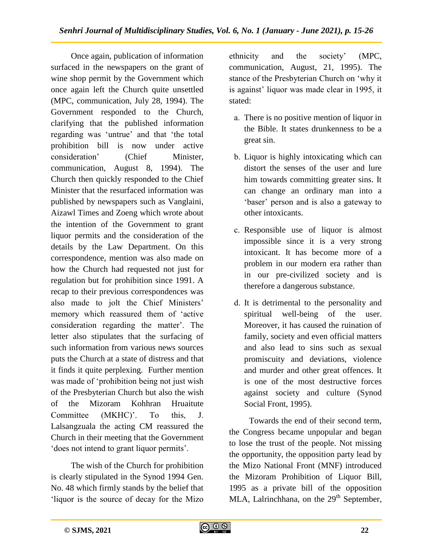Once again, publication of information surfaced in the newspapers on the grant of wine shop permit by the Government which once again left the Church quite unsettled (MPC, communication, July 28, 1994). The Government responded to the Church, clarifying that the published information regarding was 'untrue' and that 'the total prohibition bill is now under active consideration" (Chief Minister, communication, August 8, 1994). The Church then quickly responded to the Chief Minister that the resurfaced information was published by newspapers such as Vanglaini, Aizawl Times and Zoeng which wrote about the intention of the Government to grant liquor permits and the consideration of the details by the Law Department. On this correspondence, mention was also made on how the Church had requested not just for regulation but for prohibition since 1991. A recap to their previous correspondences was also made to jolt the Chief Ministers' memory which reassured them of "active consideration regarding the matter'. The letter also stipulates that the surfacing of such information from various news sources puts the Church at a state of distress and that it finds it quite perplexing. Further mention was made of "prohibition being not just wish of the Presbyterian Church but also the wish of the Mizoram Kohhran Hruaitute Committee (MKHC)'. To this, J. Lalsangzuala the acting CM reassured the Church in their meeting that the Government 'does not intend to grant liquor permits'.

The wish of the Church for prohibition is clearly stipulated in the Synod 1994 Gen. No. 48 which firmly stands by the belief that 'liquor is the source of decay for the Mizo ethnicity and the society" (MPC, communication, August, 21, 1995). The stance of the Presbyterian Church on "why it is against' liquor was made clear in 1995, it stated:

- a. There is no positive mention of liquor in the Bible. It states drunkenness to be a great sin.
- b. Liquor is highly intoxicating which can distort the senses of the user and lure him towards committing greater sins. It can change an ordinary man into a "baser" person and is also a gateway to other intoxicants.
- c. Responsible use of liquor is almost impossible since it is a very strong intoxicant. It has become more of a problem in our modern era rather than in our pre-civilized society and is therefore a dangerous substance.
- d. It is detrimental to the personality and spiritual well-being of the user. Moreover, it has caused the ruination of family, society and even official matters and also lead to sins such as sexual promiscuity and deviations, violence and murder and other great offences. It is one of the most destructive forces against society and culture (Synod Social Front, 1995).

Towards the end of their second term, the Congress became unpopular and began to lose the trust of the people. Not missing the opportunity, the opposition party lead by the Mizo National Front (MNF) introduced the Mizoram Prohibition of Liquor Bill, 1995 as a private bill of the opposition MLA, Lalrinchhana, on the  $29<sup>th</sup>$  September,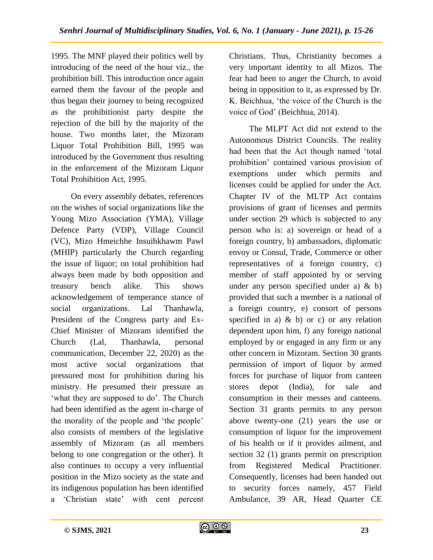1995. The MNF played their politics well by introducing of the need of the hour viz., the prohibition bill. This introduction once again earned them the favour of the people and thus began their journey to being recognized as the prohibitionist party despite the rejection of the bill by the majority of the house. Two months later, the Mizoram Liquor Total Prohibition Bill, 1995 was introduced by the Government thus resulting in the enforcement of the Mizoram Liquor Total Prohibition Act, 1995.

On every assembly debates, references on the wishes of social organizations like the Young Mizo Association (YMA), Village Defence Party (VDP), Village Council (VC), Mizo Hmeichhe Insuihkhawm Pawl (MHIP) particularly the Church regarding the issue of liquor; on total prohibition had always been made by both opposition and treasury bench alike. This shows acknowledgement of temperance stance of social organizations. Lal Thanhawla, President of the Congress party and Ex-Chief Minister of Mizoram identified the Church (Lal, Thanhawla, personal communication, December 22, 2020) as the most active social organizations that pressured most for prohibition during his ministry. He presumed their pressure as 'what they are supposed to do'. The Church had been identified as the agent in-charge of the morality of the people and "the people" also consists of members of the legislative assembly of Mizoram (as all members belong to one congregation or the other). It also continues to occupy a very influential position in the Mizo society as the state and its indigenous population has been identified a "Christian state" with cent percent

Christians. Thus, Christianity becomes a very important identity to all Mizos. The fear had been to anger the Church, to avoid being in opposition to it, as expressed by Dr. K. Beichhua, "the voice of the Church is the voice of God" (Beichhua, 2014).

The MLPT Act did not extend to the Autonomous District Councils. The reality had been that the Act though named "total prohibition" contained various provision of exemptions under which permits and licenses could be applied for under the Act. Chapter IV of the MLTP Act contains provisions of grant of licenses and permits under section 29 which is subjected to any person who is: a) sovereign or head of a foreign country, b) ambassadors, diplomatic envoy or Consul, Trade, Commerce or other representatives of a foreign country, c) member of staff appointed by or serving under any person specified under a) & b) provided that such a member is a national of a foreign country, e) consort of persons specified in a)  $\⊂> b$  or c) or any relation dependent upon him, f) any foreign national employed by or engaged in any firm or any other concern in Mizoram. Section 30 grants permission of import of liquor by armed forces for purchase of liquor from canteen stores depot (India), for sale and consumption in their messes and canteens. Section 31 grants permits to any person above twenty-one (21) years the use or consumption of liquor for the improvement of his health or if it provides ailment, and section 32 (1) grants permit on prescription from Registered Medical Practitioner. Consequently, licenses had been handed out to security forces namely, 457 Field Ambulance, 39 AR, Head Quarter CE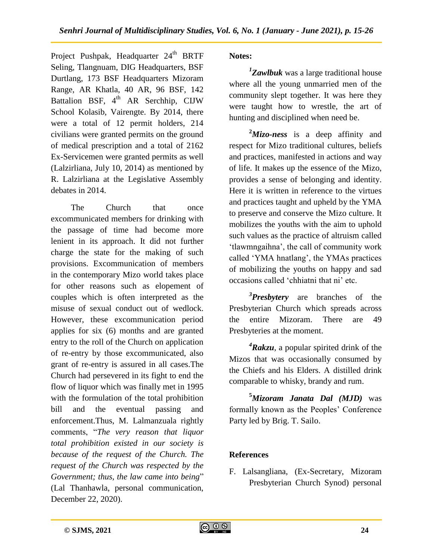Project Pushpak, Headquarter 24<sup>th</sup> BRTF Seling, Tlangnuam, DIG Headquarters, BSF Durtlang, 173 BSF Headquarters Mizoram Range, AR Khatla, 40 AR, 96 BSF, 142 Battalion BSF,  $4<sup>th</sup> AR Serchhip$ , CIJW School Kolasib, Vairengte. By 2014, there were a total of 12 permit holders, 214 civilians were granted permits on the ground of medical prescription and a total of 2162 Ex-Servicemen were granted permits as well (Lalzirliana, July 10, 2014) as mentioned by R. Lalzirliana at the Legislative Assembly debates in 2014.

The Church that once excommunicated members for drinking with the passage of time had become more lenient in its approach. It did not further charge the state for the making of such provisions. Excommunication of members in the contemporary Mizo world takes place for other reasons such as elopement of couples which is often interpreted as the misuse of sexual conduct out of wedlock. However, these excommunication period applies for six (6) months and are granted entry to the roll of the Church on application of re-entry by those excommunicated, also grant of re-entry is assured in all cases.The Church had persevered in its fight to end the flow of liquor which was finally met in 1995 with the formulation of the total prohibition bill and the eventual passing and enforcement.Thus, M. Lalmanzuala rightly comments, "*The very reason that liquor total prohibition existed in our society is because of the request of the Church. The request of the Church was respected by the Government; thus, the law came into being*" (Lal Thanhawla, personal communication, December 22, 2020).

## **Notes:**

*1 Zawlbuk* was a large traditional house where all the young unmarried men of the community slept together. It was here they were taught how to wrestle, the art of hunting and disciplined when need be.

**<sup>2</sup>***Mizo-ness* is a deep affinity and respect for Mizo traditional cultures, beliefs and practices, manifested in actions and way of life. It makes up the essence of the Mizo, provides a sense of belonging and identity. Here it is written in reference to the virtues and practices taught and upheld by the YMA to preserve and conserve the Mizo culture. It mobilizes the youths with the aim to uphold such values as the practice of altruism called 'tlawmngaihna', the call of community work called "YMA hnatlang", the YMAs practices of mobilizing the youths on happy and sad occasions called 'chhiatni that ni' etc.

*3 Presbytery* are branches of the Presbyterian Church which spreads across the entire Mizoram. There are 49 Presbyteries at the moment.

*<sup>4</sup>Rakzu*, a popular spirited drink of the Mizos that was occasionally consumed by the Chiefs and his Elders. A distilled drink comparable to whisky, brandy and rum.

**<sup>5</sup>***Mizoram Janata Dal (MJD)* was formally known as the Peoples' Conference Party led by Brig. T. Sailo.

# **References**

F. Lalsangliana, (Ex-Secretary, Mizoram Presbyterian Church Synod) personal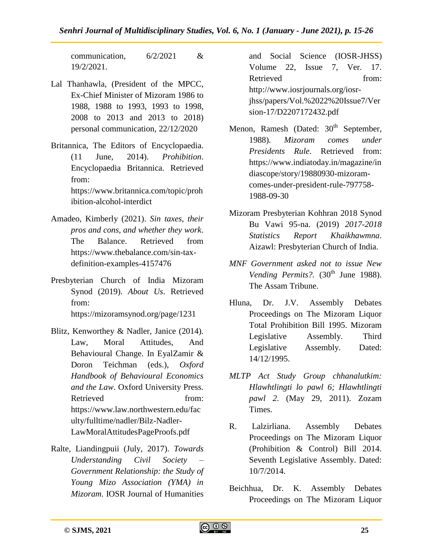communication, 6/2/2021 & 19/2/2021.

- Lal Thanhawla, (President of the MPCC, Ex-Chief Minister of Mizoram 1986 to 1988, 1988 to 1993, 1993 to 1998, 2008 to 2013 and 2013 to 2018) personal communication, 22/12/2020
- Britannica, The Editors of Encyclopaedia. (11 June, 2014). *Prohibition*. Encyclopaedia Britannica. Retrieved from: [https://www.britannica.com/topic/proh](https://www.britannica.com/topic/prohibition-alcohol-interdict) [ibition-alcohol-interdict](https://www.britannica.com/topic/prohibition-alcohol-interdict)
- Amadeo, Kimberly (2021). *Sin taxes, their pros and cons, and whether they work*. The Balance. Retrieved from [https://www.thebalance.com/sin-tax](https://www.thebalance.com/sin-tax-definition-examples-4157476)[definition-examples-4157476](https://www.thebalance.com/sin-tax-definition-examples-4157476)
- Presbyterian Church of India Mizoram Synod (2019). *About Us*. Retrieved from: <https://mizoramsynod.org/page/1231>
- Blitz, Kenworthey & Nadler, Janice (2014). Law, Moral Attitudes, And Behavioural Change. In EyalZamir & Doron Teichman (eds.), *Oxford Handbook of Behavioural Economics and the Law*. Oxford University Press. Retrieved from: [https://www.law.northwestern.edu/fac](https://www.law.northwestern.edu/faculty/fulltime/nadler/Bilz-Nadler-LawMoralAttitudesPageProofs.pdf) [ulty/fulltime/nadler/Bilz-Nadler-](https://www.law.northwestern.edu/faculty/fulltime/nadler/Bilz-Nadler-LawMoralAttitudesPageProofs.pdf)[LawMoralAttitudesPageProofs.pdf](https://www.law.northwestern.edu/faculty/fulltime/nadler/Bilz-Nadler-LawMoralAttitudesPageProofs.pdf)
- Ralte, Liandingpuii (July, 2017). *Towards Understanding Civil Society – Government Relationship: the Study of Young Mizo Association (YMA) in Mizoram.* IOSR Journal of Humanities

and Social Science (IOSR-JHSS) Volume 22, Issue 7, Ver. 17. Retrieved from: [http://www.iosrjournals.org/iosr](http://www.iosrjournals.org/iosr-jhss/papers/Vol.%2022%20Issue7/Version-17/D2207172432.pdf)[jhss/papers/Vol.%2022%20Issue7/Ver](http://www.iosrjournals.org/iosr-jhss/papers/Vol.%2022%20Issue7/Version-17/D2207172432.pdf) [sion-17/D2207172432.pdf](http://www.iosrjournals.org/iosr-jhss/papers/Vol.%2022%20Issue7/Version-17/D2207172432.pdf)

- Menon, Ramesh (Dated:  $30<sup>th</sup>$  September, 1988)*. Mizoram comes under Presidents Rule*. Retrieved from: [https://www.indiatoday.in/magazine/in](https://www.indiatoday.in/magazine/indiascope/story/19880930-mizoram-comes-under-president-rule-797758-1988-09-30) [diascope/story/19880930-mizoram](https://www.indiatoday.in/magazine/indiascope/story/19880930-mizoram-comes-under-president-rule-797758-1988-09-30)[comes-under-president-rule-797758-](https://www.indiatoday.in/magazine/indiascope/story/19880930-mizoram-comes-under-president-rule-797758-1988-09-30) [1988-09-30](https://www.indiatoday.in/magazine/indiascope/story/19880930-mizoram-comes-under-president-rule-797758-1988-09-30)
- Mizoram Presbyterian Kohhran 2018 Synod Bu Vawi 95-na. (2019) *2017-2018 Statistics Report Khaikhawmna*. Aizawl: Presbyterian Church of India.
- *MNF Government asked not to issue New Vending Permits?.* (30<sup>th</sup> June 1988). The Assam Tribune.
- Hluna, Dr. J.V. Assembly Debates Proceedings on The Mizoram Liquor Total Prohibition Bill 1995. Mizoram Legislative Assembly. Third Legislative Assembly. Dated: 14/12/1995.
- *MLTP Act Study Group chhanalutkim: Hlawhtlingti lo pawl 6; Hlawhtlingti pawl 2*. (May 29, 2011). Zozam Times.
- R. Lalzirliana. Assembly Debates Proceedings on The Mizoram Liquor (Prohibition & Control) Bill 2014. Seventh Legislative Assembly. Dated: 10/7/2014.
- Beichhua, Dr. K. Assembly Debates Proceedings on The Mizoram Liquor